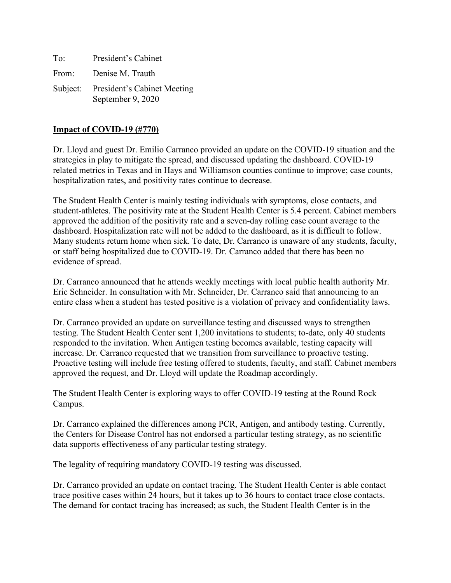To: President's Cabinet From: Denise M. Trauth Subject: President's Cabinet Meeting September 9, 2020

### **Impact of COVID-19 (#770)**

Dr. Lloyd and guest Dr. Emilio Carranco provided an update on the COVID-19 situation and the strategies in play to mitigate the spread, and discussed updating the dashboard. COVID-19 related metrics in Texas and in Hays and Williamson counties continue to improve; case counts, hospitalization rates, and positivity rates continue to decrease.

The Student Health Center is mainly testing individuals with symptoms, close contacts, and student-athletes. The positivity rate at the Student Health Center is 5.4 percent. Cabinet members approved the addition of the positivity rate and a seven-day rolling case count average to the dashboard. Hospitalization rate will not be added to the dashboard, as it is difficult to follow. Many students return home when sick. To date, Dr. Carranco is unaware of any students, faculty, or staff being hospitalized due to COVID-19. Dr. Carranco added that there has been no evidence of spread.

Dr. Carranco announced that he attends weekly meetings with local public health authority Mr. Eric Schneider. In consultation with Mr. Schneider, Dr. Carranco said that announcing to an entire class when a student has tested positive is a violation of privacy and confidentiality laws.

Dr. Carranco provided an update on surveillance testing and discussed ways to strengthen testing. The Student Health Center sent 1,200 invitations to students; to-date, only 40 students responded to the invitation. When Antigen testing becomes available, testing capacity will increase. Dr. Carranco requested that we transition from surveillance to proactive testing. Proactive testing will include free testing offered to students, faculty, and staff. Cabinet members approved the request, and Dr. Lloyd will update the Roadmap accordingly.

The Student Health Center is exploring ways to offer COVID-19 testing at the Round Rock Campus.

Dr. Carranco explained the differences among PCR, Antigen, and antibody testing. Currently, the Centers for Disease Control has not endorsed a particular testing strategy, as no scientific data supports effectiveness of any particular testing strategy.

The legality of requiring mandatory COVID-19 testing was discussed.

Dr. Carranco provided an update on contact tracing. The Student Health Center is able contact trace positive cases within 24 hours, but it takes up to 36 hours to contact trace close contacts. The demand for contact tracing has increased; as such, the Student Health Center is in the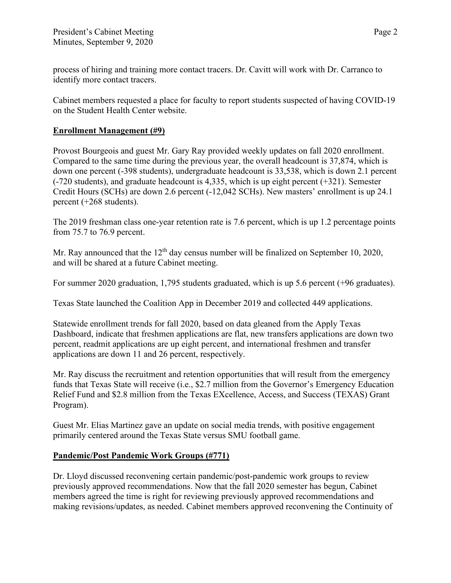process of hiring and training more contact tracers. Dr. Cavitt will work with Dr. Carranco to identify more contact tracers.

Cabinet members requested a place for faculty to report students suspected of having COVID-19 on the Student Health Center website.

#### **Enrollment Management (#9)**

Provost Bourgeois and guest Mr. Gary Ray provided weekly updates on fall 2020 enrollment. Compared to the same time during the previous year, the overall headcount is 37,874, which is down one percent (-398 students), undergraduate headcount is 33,538, which is down 2.1 percent (-720 students), and graduate headcount is 4,335, which is up eight percent (+321). Semester Credit Hours (SCHs) are down 2.6 percent (-12,042 SCHs). New masters' enrollment is up 24.1 percent (+268 students).

The 2019 freshman class one-year retention rate is 7.6 percent, which is up 1.2 percentage points from 75.7 to 76.9 percent.

Mr. Ray announced that the  $12<sup>th</sup>$  day census number will be finalized on September 10, 2020, and will be shared at a future Cabinet meeting.

For summer 2020 graduation, 1,795 students graduated, which is up 5.6 percent (+96 graduates).

Texas State launched the Coalition App in December 2019 and collected 449 applications.

Statewide enrollment trends for fall 2020, based on data gleaned from the Apply Texas Dashboard, indicate that freshmen applications are flat, new transfers applications are down two percent, readmit applications are up eight percent, and international freshmen and transfer applications are down 11 and 26 percent, respectively.

Mr. Ray discuss the recruitment and retention opportunities that will result from the emergency funds that Texas State will receive (i.e., \$2.7 million from the Governor's Emergency Education Relief Fund and \$2.8 million from the Texas EXcellence, Access, and Success (TEXAS) Grant Program).

Guest Mr. Elias Martinez gave an update on social media trends, with positive engagement primarily centered around the Texas State versus SMU football game.

# **Pandemic/Post Pandemic Work Groups (#771)**

Dr. Lloyd discussed reconvening certain pandemic/post-pandemic work groups to review previously approved recommendations. Now that the fall 2020 semester has begun, Cabinet members agreed the time is right for reviewing previously approved recommendations and making revisions/updates, as needed. Cabinet members approved reconvening the Continuity of